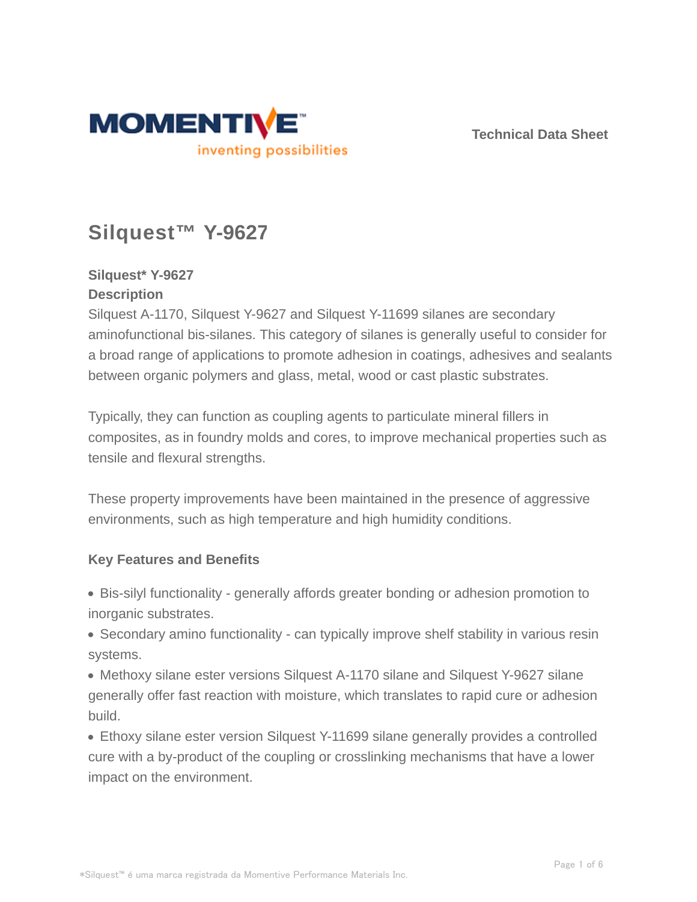

**Technical Data Sheet**

# **Silquest™ Y-9627**

# **Silquest\* Y-9627 Description**

Silquest A-1170, Silquest Y-9627 and Silquest Y-11699 silanes are secondary aminofunctional bis-silanes. This category of silanes is generally useful to consider for a broad range of applications to promote adhesion in coatings, adhesives and sealants between organic polymers and glass, metal, wood or cast plastic substrates.

Typically, they can function as coupling agents to particulate mineral fillers in composites, as in foundry molds and cores, to improve mechanical properties such as tensile and flexural strengths.

These property improvements have been maintained in the presence of aggressive environments, such as high temperature and high humidity conditions.

# **Key Features and Benefits**

Bis-silyl functionality - generally affords greater bonding or adhesion promotion to inorganic substrates.

• Secondary amino functionality - can typically improve shelf stability in various resin systems.

Methoxy silane ester versions Silquest A-1170 silane and Silquest Y-9627 silane generally offer fast reaction with moisture, which translates to rapid cure or adhesion build.

Ethoxy silane ester version Silquest Y-11699 silane generally provides a controlled cure with a by-product of the coupling or crosslinking mechanisms that have a lower impact on the environment.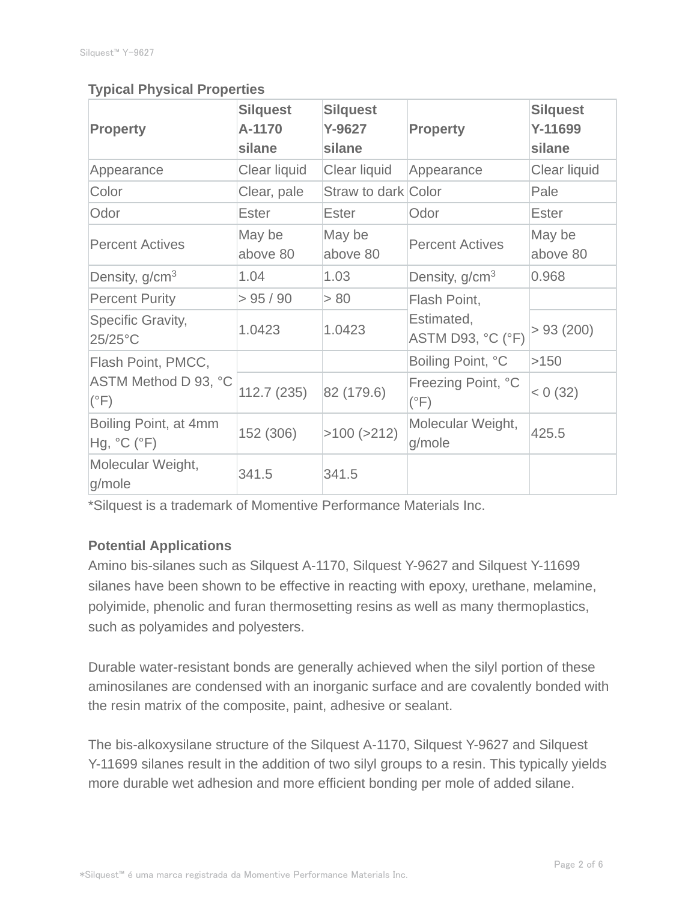### **Typical Physical Properties**

| <b>Property</b>                       | <b>Silquest</b><br>A-1170<br>silane | <b>Silquest</b><br>Y-9627<br>silane | <b>Property</b>                     | <b>Silquest</b><br>Y-11699<br>silane |
|---------------------------------------|-------------------------------------|-------------------------------------|-------------------------------------|--------------------------------------|
| Appearance                            | Clear liquid                        | Clear liquid                        | Appearance                          | Clear liquid                         |
| Color                                 | Clear, pale                         | Straw to dark Color                 |                                     | Pale                                 |
| Odor                                  | <b>Ester</b>                        | <b>Ester</b>                        | Odor                                | <b>Ester</b>                         |
| <b>Percent Actives</b>                | May be<br>above 80                  | May be<br>above 80                  | <b>Percent Actives</b>              | May be<br>above 80                   |
| Density, g/cm <sup>3</sup>            | 1.04                                | 1.03                                | Density, $g/cm3$                    | 0.968                                |
| <b>Percent Purity</b>                 | > 95 / 90                           | > 80                                | Flash Point,                        |                                      |
| Specific Gravity,<br>25/25°C          | 1.0423                              | 1.0423                              | Estimated,<br>ASTM D93, °C (°F)     | > 93(200)                            |
| Flash Point, PMCC,                    |                                     |                                     | Boiling Point, °C                   | >150                                 |
| ASTM Method D 93, °C<br>$(^{\circ}F)$ | 112.7(235)                          | 82 (179.6)                          | Freezing Point, °C<br>$(^{\circ}F)$ | < 0 (32)                             |
| Boiling Point, at 4mm<br>Hg, °C (°F)  | 152 (306)                           | $>100$ ( $>212$ )                   | Molecular Weight,<br>g/mole         | 425.5                                |
| Molecular Weight,<br>g/mole           | 341.5                               | 341.5                               |                                     |                                      |

\*Silquest is a trademark of Momentive Performance Materials Inc.

#### **Potential Applications**

Amino bis-silanes such as Silquest A-1170, Silquest Y-9627 and Silquest Y-11699 silanes have been shown to be effective in reacting with epoxy, urethane, melamine, polyimide, phenolic and furan thermosetting resins as well as many thermoplastics, such as polyamides and polyesters.

Durable water-resistant bonds are generally achieved when the silyl portion of these aminosilanes are condensed with an inorganic surface and are covalently bonded with the resin matrix of the composite, paint, adhesive or sealant.

The bis-alkoxysilane structure of the Silquest A-1170, Silquest Y-9627 and Silquest Y-11699 silanes result in the addition of two silyl groups to a resin. This typically yields more durable wet adhesion and more efficient bonding per mole of added silane.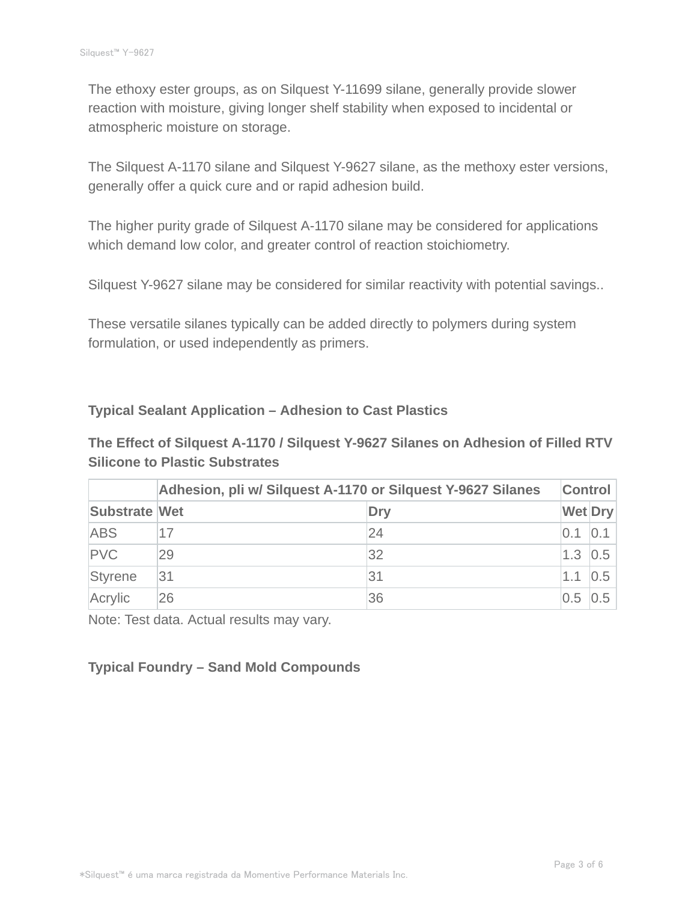The ethoxy ester groups, as on Silquest Y-11699 silane, generally provide slower reaction with moisture, giving longer shelf stability when exposed to incidental or atmospheric moisture on storage.

The Silquest A-1170 silane and Silquest Y-9627 silane, as the methoxy ester versions, generally offer a quick cure and or rapid adhesion build.

The higher purity grade of Silquest A-1170 silane may be considered for applications which demand low color, and greater control of reaction stoichiometry.

Silquest Y-9627 silane may be considered for similar reactivity with potential savings..

These versatile silanes typically can be added directly to polymers during system formulation, or used independently as primers.

#### **Typical Sealant Application – Adhesion to Cast Plastics**

**The Effect of Silquest A-1170 / Silquest Y-9627 Silanes on Adhesion of Filled RTV Silicone to Plastic Substrates**

|                      | Adhesion, pli w/ Silquest A-1170 or Silquest Y-9627 Silanes |     |                | <b>Control</b> |  |
|----------------------|-------------------------------------------------------------|-----|----------------|----------------|--|
| <b>Substrate Wet</b> |                                                             | Dry | <b>Wet Dry</b> |                |  |
| <b>ABS</b>           |                                                             | 24  | 0.1            | 0.1            |  |
| <b>PVC</b>           | 29                                                          | 32  | $1.3$ 0.5      |                |  |
| Styrene              | 31                                                          | 31  | 1.1            | 0.5            |  |
| Acrylic              | 26                                                          | 36  | 0.5 0.5        |                |  |

Note: Test data. Actual results may vary.

#### **Typical Foundry – Sand Mold Compounds**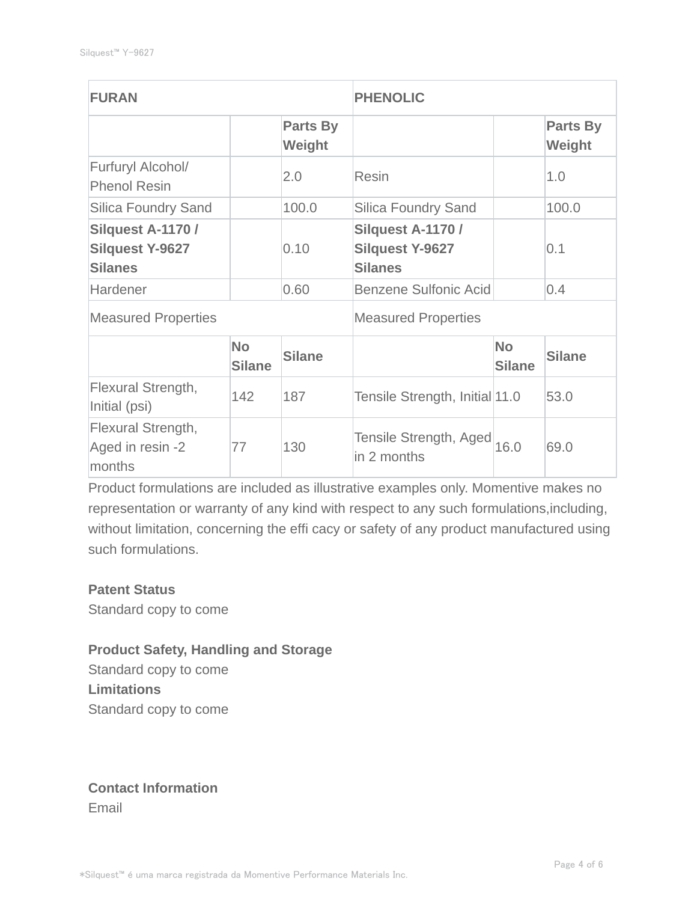| <b>FURAN</b>                                                  |                            | <b>PHENOLIC</b>            |                                                               |                            |                    |
|---------------------------------------------------------------|----------------------------|----------------------------|---------------------------------------------------------------|----------------------------|--------------------|
|                                                               |                            | Parts By<br>Weight         |                                                               |                            | Parts By<br>Weight |
| Furfuryl Alcohol/<br><b>Phenol Resin</b>                      |                            | 2.0                        | <b>Resin</b>                                                  |                            | 1.0                |
| <b>Silica Foundry Sand</b>                                    |                            | 100.0                      | <b>Silica Foundry Sand</b>                                    |                            | 100.0              |
| Silquest A-1170 /<br><b>Silquest Y-9627</b><br><b>Silanes</b> |                            | 0.10                       | Silquest A-1170 /<br><b>Silquest Y-9627</b><br><b>Silanes</b> |                            | 0.1                |
| Hardener                                                      |                            | 0.60                       | <b>Benzene Sulfonic Acid</b>                                  |                            | 0.4                |
| <b>Measured Properties</b>                                    |                            | <b>Measured Properties</b> |                                                               |                            |                    |
|                                                               | <b>No</b><br><b>Silane</b> | <b>Silane</b>              |                                                               | <b>No</b><br><b>Silane</b> | <b>Silane</b>      |
| Flexural Strength,<br>Initial (psi)                           | 142                        | 187                        | Tensile Strength, Initial 11.0                                |                            | 53.0               |
| Flexural Strength,<br>Aged in resin -2<br>months              | 77                         | 130                        | Tensile Strength, Aged 16.0<br>in 2 months                    |                            | 69.0               |

Product formulations are included as illustrative examples only. Momentive makes no representation or warranty of any kind with respect to any such formulations,including, without limitation, concerning the effi cacy or safety of any product manufactured using such formulations.

#### **Patent Status**

Standard copy to come

#### **Product Safety, Handling and Storage**

Standard copy to come **Limitations** Standard copy to come

# **Contact Information** Email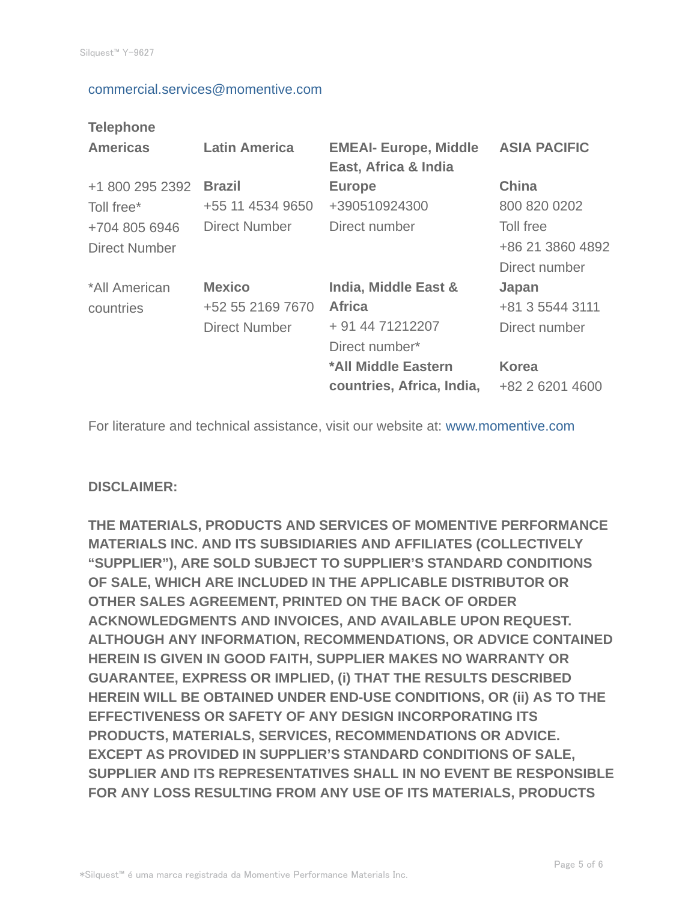#### commercial.services@momentive.com

#### **Telephone**

| <b>Americas</b>                       | <b>Latin America</b>                                      | <b>EMEAI- Europe, Middle</b><br>East, Africa & India                        | <b>ASIA PACIFIC</b>                            |
|---------------------------------------|-----------------------------------------------------------|-----------------------------------------------------------------------------|------------------------------------------------|
| +1 800 295 2392<br>Toll free*         | <b>Brazil</b><br>+55 11 4534 9650                         | <b>Europe</b><br>+390510924300                                              | <b>China</b><br>800 820 0202                   |
| +704 805 6946<br><b>Direct Number</b> | <b>Direct Number</b>                                      | Direct number                                                               | Toll free<br>+86 21 3860 4892<br>Direct number |
| *All American<br>countries            | <b>Mexico</b><br>+52 55 2169 7670<br><b>Direct Number</b> | India, Middle East &<br><b>Africa</b><br>+ 91 44 71212207<br>Direct number* | Japan<br>+81 3 5544 3111<br>Direct number      |
|                                       |                                                           | *All Middle Eastern<br>countries, Africa, India,                            | <b>Korea</b><br>+82 2 6201 4600                |

For literature and technical assistance, visit our website at: www.momentive.com

#### **DISCLAIMER:**

**THE MATERIALS, PRODUCTS AND SERVICES OF MOMENTIVE PERFORMANCE MATERIALS INC. AND ITS SUBSIDIARIES AND AFFILIATES (COLLECTIVELY "SUPPLIER"), ARE SOLD SUBJECT TO SUPPLIER'S STANDARD CONDITIONS OF SALE, WHICH ARE INCLUDED IN THE APPLICABLE DISTRIBUTOR OR OTHER SALES AGREEMENT, PRINTED ON THE BACK OF ORDER ACKNOWLEDGMENTS AND INVOICES, AND AVAILABLE UPON REQUEST. ALTHOUGH ANY INFORMATION, RECOMMENDATIONS, OR ADVICE CONTAINED HEREIN IS GIVEN IN GOOD FAITH, SUPPLIER MAKES NO WARRANTY OR GUARANTEE, EXPRESS OR IMPLIED, (i) THAT THE RESULTS DESCRIBED HEREIN WILL BE OBTAINED UNDER END-USE CONDITIONS, OR (ii) AS TO THE EFFECTIVENESS OR SAFETY OF ANY DESIGN INCORPORATING ITS PRODUCTS, MATERIALS, SERVICES, RECOMMENDATIONS OR ADVICE. EXCEPT AS PROVIDED IN SUPPLIER'S STANDARD CONDITIONS OF SALE, SUPPLIER AND ITS REPRESENTATIVES SHALL IN NO EVENT BE RESPONSIBLE FOR ANY LOSS RESULTING FROM ANY USE OF ITS MATERIALS, PRODUCTS**